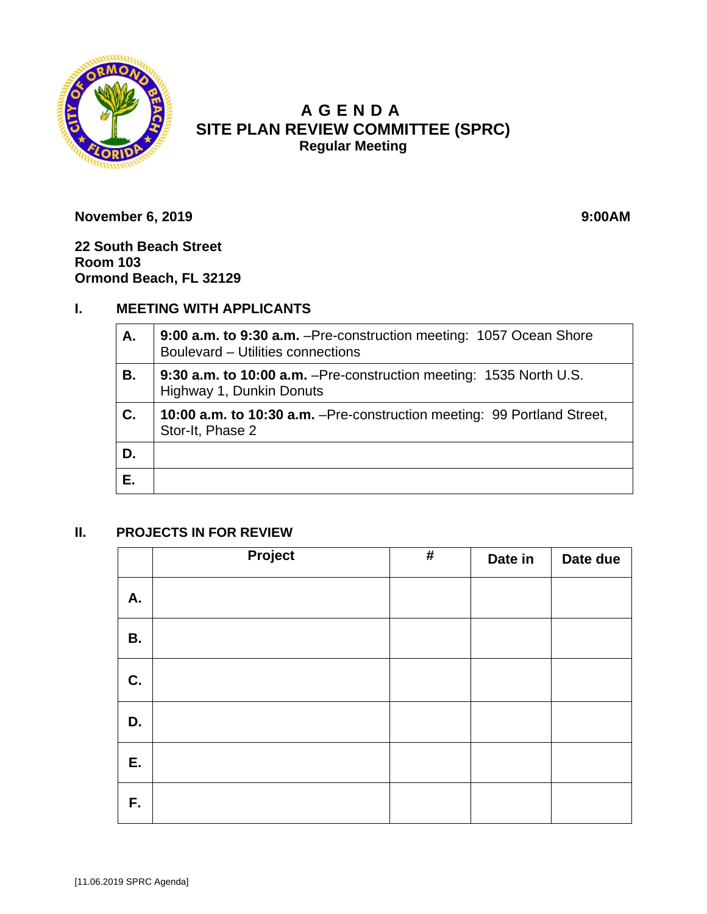

# **A GENDA SITE PLAN REVIEW COMMITTEE (SPRC) Regular Meeting**

**November 6, 2019 9:00AM** 

**22 South Beach Street Room 103 Ormond Beach, FL 32129**

## **I. MEETING WITH APPLICANTS**

| Α. | 9:00 a.m. to 9:30 a.m. - Pre-construction meeting: 1057 Ocean Shore<br>Boulevard - Utilities connections |
|----|----------------------------------------------------------------------------------------------------------|
| В. | 9:30 a.m. to 10:00 a.m. - Pre-construction meeting: 1535 North U.S.<br>Highway 1, Dunkin Donuts          |
| C. | <b>10:00 a.m. to 10:30 a.m.</b> - Pre-construction meeting: 99 Portland Street,<br>Stor-It, Phase 2      |
| D. |                                                                                                          |
| Е. |                                                                                                          |

### **II. PROJECTS IN FOR REVIEW**

|           | Project | $\#$ | Date in | Date due |
|-----------|---------|------|---------|----------|
| Α.        |         |      |         |          |
| <b>B.</b> |         |      |         |          |
| C.        |         |      |         |          |
| D.        |         |      |         |          |
| E.        |         |      |         |          |
| F.        |         |      |         |          |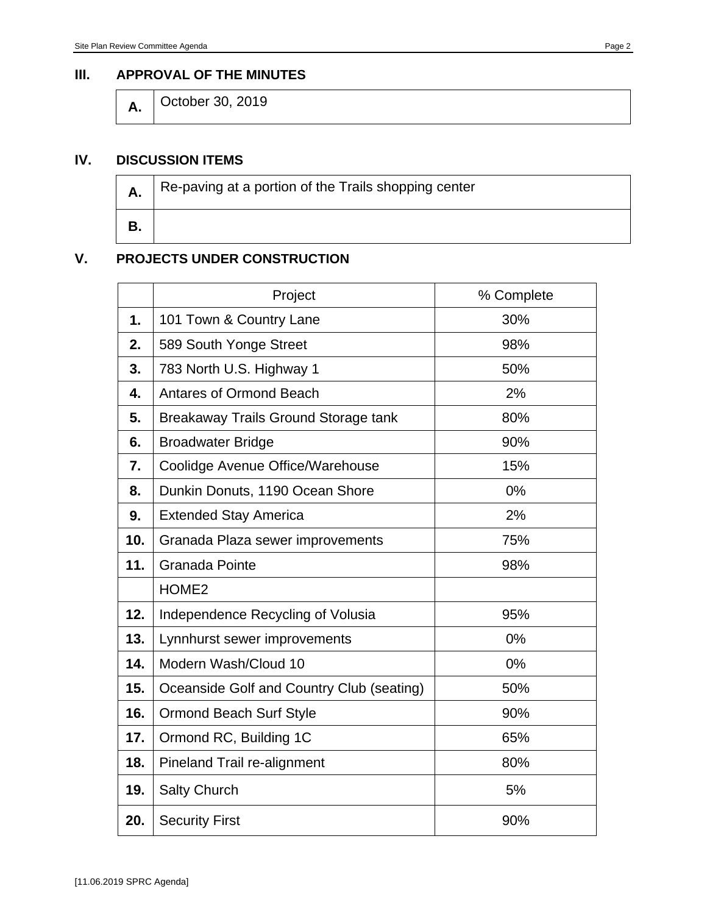### **III. APPROVAL OF THE MINUTES**

**A.** October 30, 2019

### **IV. DISCUSSION ITEMS**

| А. | Re-paving at a portion of the Trails shopping center |
|----|------------------------------------------------------|
| В. |                                                      |

# **V. PROJECTS UNDER CONSTRUCTION**

|     | Project                                   | % Complete |
|-----|-------------------------------------------|------------|
| 1.  | 101 Town & Country Lane                   | 30%        |
| 2.  | 589 South Yonge Street                    | 98%        |
| 3.  | 783 North U.S. Highway 1                  | 50%        |
| 4.  | <b>Antares of Ormond Beach</b>            | 2%         |
| 5.  | Breakaway Trails Ground Storage tank      | 80%        |
| 6.  | <b>Broadwater Bridge</b>                  | 90%        |
| 7.  | Coolidge Avenue Office/Warehouse          | 15%        |
| 8.  | Dunkin Donuts, 1190 Ocean Shore           | 0%         |
| 9.  | <b>Extended Stay America</b>              | 2%         |
| 10. | Granada Plaza sewer improvements          | 75%        |
| 11. | <b>Granada Pointe</b>                     | 98%        |
|     | HOME <sub>2</sub>                         |            |
| 12. | Independence Recycling of Volusia         | 95%        |
| 13. | Lynnhurst sewer improvements              | 0%         |
| 14. | Modern Wash/Cloud 10                      | 0%         |
| 15. | Oceanside Golf and Country Club (seating) | 50%        |
| 16. | <b>Ormond Beach Surf Style</b>            | 90%        |
| 17. | Ormond RC, Building 1C                    | 65%        |
| 18. | Pineland Trail re-alignment               | 80%        |
| 19. | <b>Salty Church</b>                       | 5%         |
| 20. | <b>Security First</b>                     | 90%        |